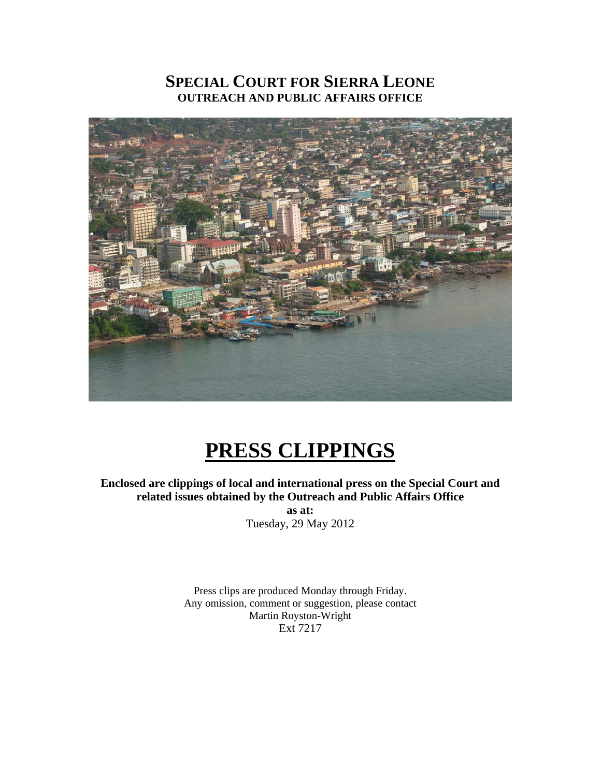## **SPECIAL COURT FOR SIERRA LEONE OUTREACH AND PUBLIC AFFAIRS OFFICE**



# **PRESS CLIPPINGS**

**Enclosed are clippings of local and international press on the Special Court and related issues obtained by the Outreach and Public Affairs Office** 

> **as at:**  Tuesday, 29 May 2012

Press clips are produced Monday through Friday. Any omission, comment or suggestion, please contact Martin Royston-Wright Ext 7217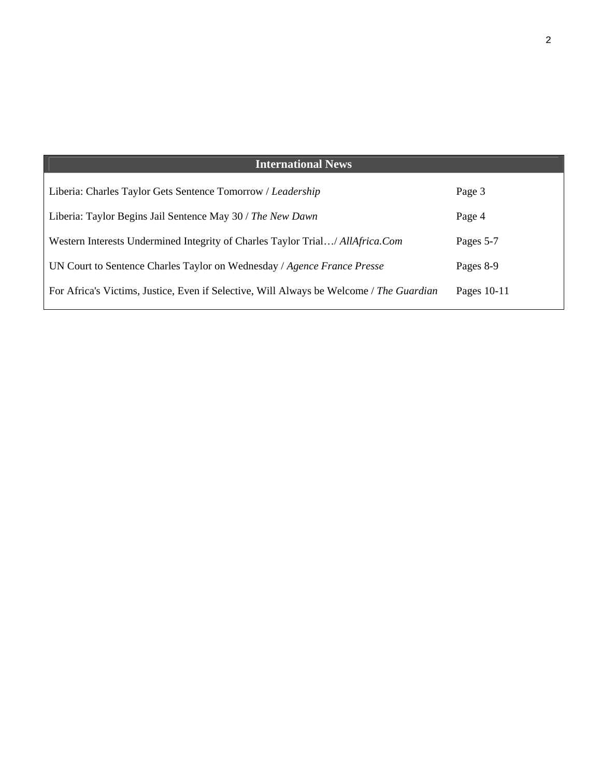| <b>International News</b>                                                               |             |
|-----------------------------------------------------------------------------------------|-------------|
| Liberia: Charles Taylor Gets Sentence Tomorrow / Leadership                             | Page 3      |
| Liberia: Taylor Begins Jail Sentence May 30 / The New Dawn                              | Page 4      |
| Western Interests Undermined Integrity of Charles Taylor Trial/ AllAfrica.Com           | Pages 5-7   |
| UN Court to Sentence Charles Taylor on Wednesday / Agence France Presse                 | Pages 8-9   |
| For Africa's Victims, Justice, Even if Selective, Will Always be Welcome / The Guardian | Pages 10-11 |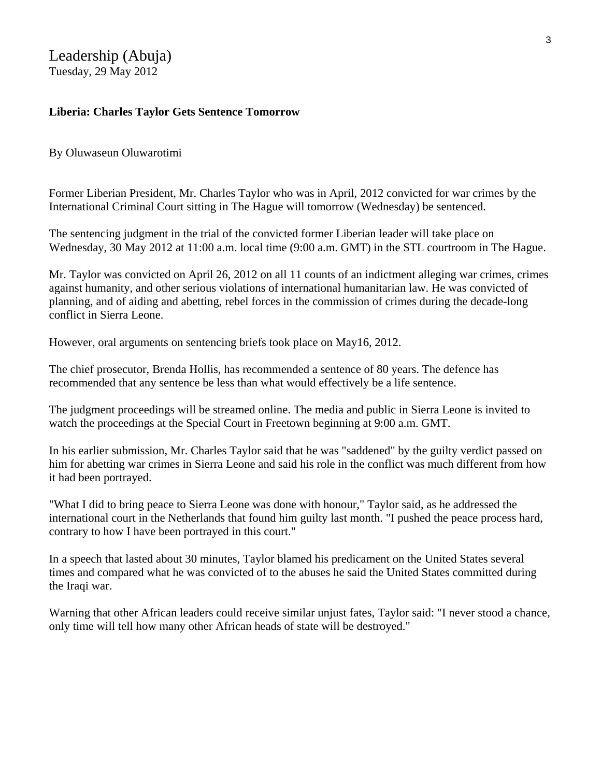Leadership (Abuja) Tuesday, 29 May 2012

## **Liberia: Charles Taylor Gets Sentence Tomorrow**

#### By Oluwaseun Oluwarotimi

Former Liberian President, Mr. Charles Taylor who was in April, 2012 convicted for war crimes by the International Criminal Court sitting in The Hague will tomorrow (Wednesday) be sentenced.

The sentencing judgment in the trial of the convicted former Liberian leader will take place on Wednesday, 30 May 2012 at 11:00 a.m. local time (9:00 a.m. GMT) in the STL courtroom in The Hague.

Mr. Taylor was convicted on April 26, 2012 on all 11 counts of an indictment alleging war crimes, crimes against humanity, and other serious violations of international humanitarian law. He was convicted of planning, and of aiding and abetting, rebel forces in the commission of crimes during the decade-long conflict in Sierra Leone.

However, oral arguments on sentencing briefs took place on May16, 2012.

The chief prosecutor, Brenda Hollis, has recommended a sentence of 80 years. The defence has recommended that any sentence be less than what would effectively be a life sentence.

The judgment proceedings will be streamed online. The media and public in Sierra Leone is invited to watch the proceedings at the Special Court in Freetown beginning at 9:00 a.m. GMT.

In his earlier submission, Mr. Charles Taylor said that he was "saddened" by the guilty verdict passed on him for abetting war crimes in Sierra Leone and said his role in the conflict was much different from how it had been portrayed.

"What I did to bring peace to Sierra Leone was done with honour," Taylor said, as he addressed the international court in the Netherlands that found him guilty last month. "I pushed the peace process hard, contrary to how I have been portrayed in this court."

In a speech that lasted about 30 minutes, Taylor blamed his predicament on the United States several times and compared what he was convicted of to the abuses he said the United States committed during the Iraqi war.

Warning that other African leaders could receive similar unjust fates, Taylor said: "I never stood a chance, only time will tell how many other African heads of state will be destroyed."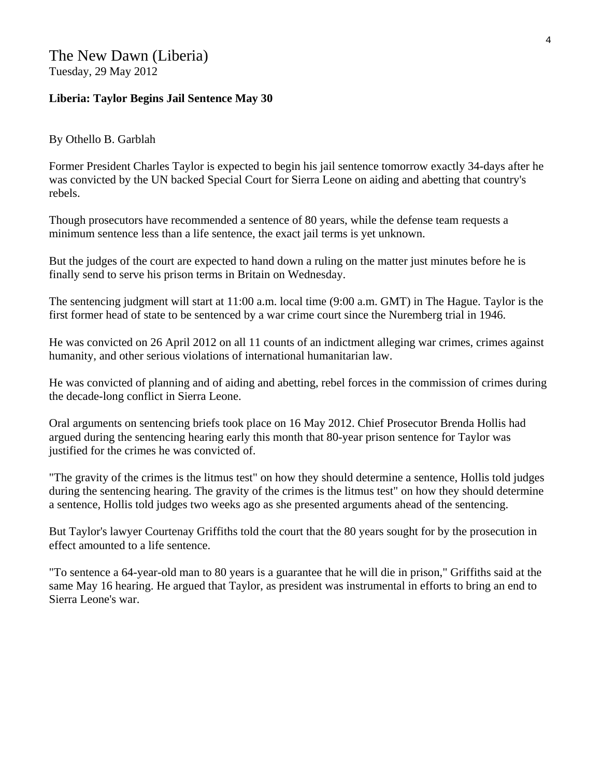## The New Dawn (Liberia) Tuesday, 29 May 2012

### **Liberia: Taylor Begins Jail Sentence May 30**

#### By Othello B. Garblah

Former President Charles Taylor is expected to begin his jail sentence tomorrow exactly 34-days after he was convicted by the UN backed Special Court for Sierra Leone on aiding and abetting that country's rebels.

Though prosecutors have recommended a sentence of 80 years, while the defense team requests a minimum sentence less than a life sentence, the exact jail terms is yet unknown.

But the judges of the court are expected to hand down a ruling on the matter just minutes before he is finally send to serve his prison terms in Britain on Wednesday.

The sentencing judgment will start at 11:00 a.m. local time (9:00 a.m. GMT) in The Hague. Taylor is the first former head of state to be sentenced by a war crime court since the Nuremberg trial in 1946.

He was convicted on 26 April 2012 on all 11 counts of an indictment alleging war crimes, crimes against humanity, and other serious violations of international humanitarian law.

He was convicted of planning and of aiding and abetting, rebel forces in the commission of crimes during the decade-long conflict in Sierra Leone.

Oral arguments on sentencing briefs took place on 16 May 2012. Chief Prosecutor Brenda Hollis had argued during the sentencing hearing early this month that 80-year prison sentence for Taylor was justified for the crimes he was convicted of.

"The gravity of the crimes is the litmus test" on how they should determine a sentence, Hollis told judges during the sentencing hearing. The gravity of the crimes is the litmus test" on how they should determine a sentence, Hollis told judges two weeks ago as she presented arguments ahead of the sentencing.

But Taylor's lawyer Courtenay Griffiths told the court that the 80 years sought for by the prosecution in effect amounted to a life sentence.

"To sentence a 64-year-old man to 80 years is a guarantee that he will die in prison," Griffiths said at the same May 16 hearing. He argued that Taylor, as president was instrumental in efforts to bring an end to Sierra Leone's war.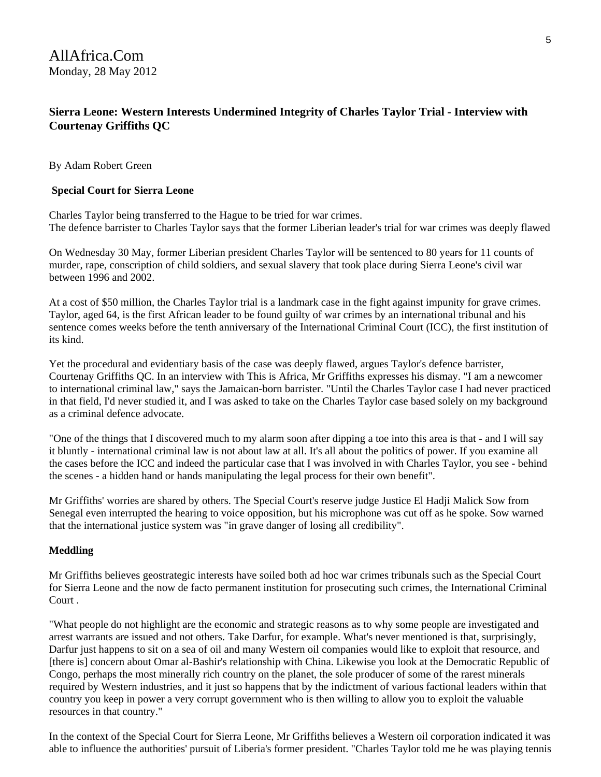## **Sierra Leone: Western Interests Undermined Integrity of Charles Taylor Trial - Interview with Courtenay Griffiths QC**

By Adam Robert Green

#### **Special Court for Sierra Leone**

Charles Taylor being transferred to the Hague to be tried for war crimes. The defence barrister to Charles Taylor says that the former Liberian leader's trial for war crimes was deeply flawed

On Wednesday 30 May, former Liberian president Charles Taylor will be sentenced to 80 years for 11 counts of murder, rape, conscription of child soldiers, and sexual slavery that took place during Sierra Leone's civil war between 1996 and 2002.

At a cost of \$50 million, the Charles Taylor trial is a landmark case in the fight against impunity for grave crimes. Taylor, aged 64, is the first African leader to be found guilty of war crimes by an international tribunal and his sentence comes weeks before the tenth anniversary of the International Criminal Court (ICC), the first institution of its kind.

Yet the procedural and evidentiary basis of the case was deeply flawed, argues Taylor's defence barrister, Courtenay Griffiths QC. In an interview with This is Africa, Mr Griffiths expresses his dismay. "I am a newcomer to international criminal law," says the Jamaican-born barrister. "Until the Charles Taylor case I had never practiced in that field, I'd never studied it, and I was asked to take on the Charles Taylor case based solely on my background as a criminal defence advocate.

"One of the things that I discovered much to my alarm soon after dipping a toe into this area is that - and I will say it bluntly - international criminal law is not about law at all. It's all about the politics of power. If you examine all the cases before the ICC and indeed the particular case that I was involved in with Charles Taylor, you see - behind the scenes - a hidden hand or hands manipulating the legal process for their own benefit".

Mr Griffiths' worries are shared by others. The Special Court's reserve judge Justice El Hadji Malick Sow from Senegal even interrupted the hearing to voice opposition, but his microphone was cut off as he spoke. Sow warned that the international justice system was "in grave danger of losing all credibility".

#### **Meddling**

Mr Griffiths believes geostrategic interests have soiled both ad hoc war crimes tribunals such as the Special Court for Sierra Leone and the now de facto permanent institution for prosecuting such crimes, the International Criminal Court .

"What people do not highlight are the economic and strategic reasons as to why some people are investigated and arrest warrants are issued and not others. Take Darfur, for example. What's never mentioned is that, surprisingly, Darfur just happens to sit on a sea of oil and many Western oil companies would like to exploit that resource, and [there is] concern about Omar al-Bashir's relationship with China. Likewise you look at the Democratic Republic of Congo, perhaps the most minerally rich country on the planet, the sole producer of some of the rarest minerals required by Western industries, and it just so happens that by the indictment of various factional leaders within that country you keep in power a very corrupt government who is then willing to allow you to exploit the valuable resources in that country."

In the context of the Special Court for Sierra Leone, Mr Griffiths believes a Western oil corporation indicated it was able to influence the authorities' pursuit of Liberia's former president. "Charles Taylor told me he was playing tennis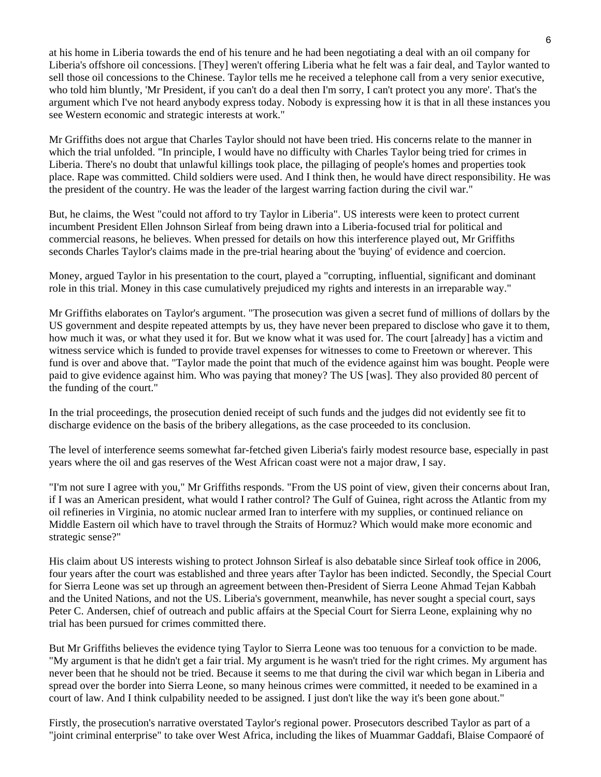at his home in Liberia towards the end of his tenure and he had been negotiating a deal with an oil company for Liberia's offshore oil concessions. [They] weren't offering Liberia what he felt was a fair deal, and Taylor wanted to sell those oil concessions to the Chinese. Taylor tells me he received a telephone call from a very senior executive, who told him bluntly, 'Mr President, if you can't do a deal then I'm sorry, I can't protect you any more'. That's the argument which I've not heard anybody express today. Nobody is expressing how it is that in all these instances you see Western economic and strategic interests at work."

Mr Griffiths does not argue that Charles Taylor should not have been tried. His concerns relate to the manner in which the trial unfolded. "In principle, I would have no difficulty with Charles Taylor being tried for crimes in Liberia. There's no doubt that unlawful killings took place, the pillaging of people's homes and properties took place. Rape was committed. Child soldiers were used. And I think then, he would have direct responsibility. He was the president of the country. He was the leader of the largest warring faction during the civil war."

But, he claims, the West "could not afford to try Taylor in Liberia". US interests were keen to protect current incumbent President Ellen Johnson Sirleaf from being drawn into a Liberia-focused trial for political and commercial reasons, he believes. When pressed for details on how this interference played out, Mr Griffiths seconds Charles Taylor's claims made in the pre-trial hearing about the 'buying' of evidence and coercion.

Money, argued Taylor in his presentation to the court, played a "corrupting, influential, significant and dominant role in this trial. Money in this case cumulatively prejudiced my rights and interests in an irreparable way."

Mr Griffiths elaborates on Taylor's argument. "The prosecution was given a secret fund of millions of dollars by the US government and despite repeated attempts by us, they have never been prepared to disclose who gave it to them, how much it was, or what they used it for. But we know what it was used for. The court [already] has a victim and witness service which is funded to provide travel expenses for witnesses to come to Freetown or wherever. This fund is over and above that. "Taylor made the point that much of the evidence against him was bought. People were paid to give evidence against him. Who was paying that money? The US [was]. They also provided 80 percent of the funding of the court."

In the trial proceedings, the prosecution denied receipt of such funds and the judges did not evidently see fit to discharge evidence on the basis of the bribery allegations, as the case proceeded to its conclusion.

The level of interference seems somewhat far-fetched given Liberia's fairly modest resource base, especially in past years where the oil and gas reserves of the West African coast were not a major draw, I say.

"I'm not sure I agree with you," Mr Griffiths responds. "From the US point of view, given their concerns about Iran, if I was an American president, what would I rather control? The Gulf of Guinea, right across the Atlantic from my oil refineries in Virginia, no atomic nuclear armed Iran to interfere with my supplies, or continued reliance on Middle Eastern oil which have to travel through the Straits of Hormuz? Which would make more economic and strategic sense?"

His claim about US interests wishing to protect Johnson Sirleaf is also debatable since Sirleaf took office in 2006, four years after the court was established and three years after Taylor has been indicted. Secondly, the Special Court for Sierra Leone was set up through an agreement between then-President of Sierra Leone Ahmad Tejan Kabbah and the United Nations, and not the US. Liberia's government, meanwhile, has never sought a special court, says Peter C. Andersen, chief of outreach and public affairs at the Special Court for Sierra Leone, explaining why no trial has been pursued for crimes committed there.

But Mr Griffiths believes the evidence tying Taylor to Sierra Leone was too tenuous for a conviction to be made. "My argument is that he didn't get a fair trial. My argument is he wasn't tried for the right crimes. My argument has never been that he should not be tried. Because it seems to me that during the civil war which began in Liberia and spread over the border into Sierra Leone, so many heinous crimes were committed, it needed to be examined in a court of law. And I think culpability needed to be assigned. I just don't like the way it's been gone about."

Firstly, the prosecution's narrative overstated Taylor's regional power. Prosecutors described Taylor as part of a "joint criminal enterprise" to take over West Africa, including the likes of Muammar Gaddafi, Blaise Compaoré of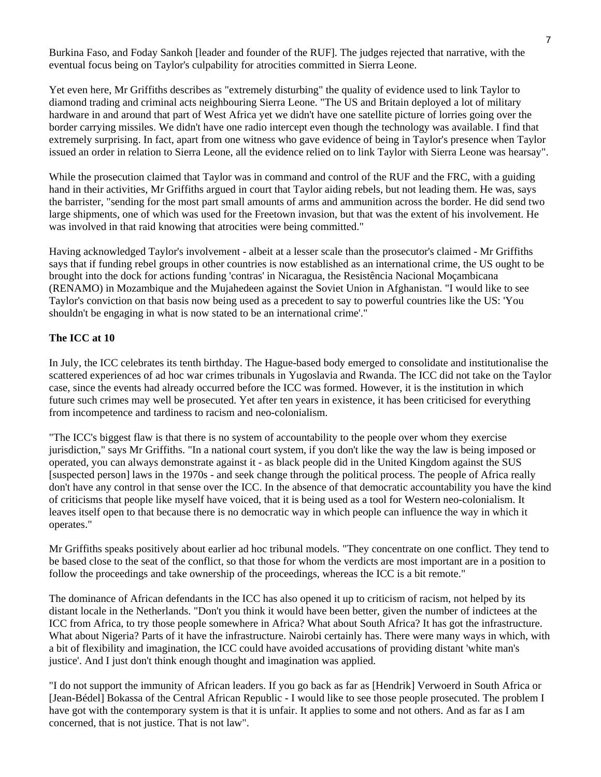Burkina Faso, and Foday Sankoh [leader and founder of the RUF]. The judges rejected that narrative, with the eventual focus being on Taylor's culpability for atrocities committed in Sierra Leone.

Yet even here, Mr Griffiths describes as "extremely disturbing" the quality of evidence used to link Taylor to diamond trading and criminal acts neighbouring Sierra Leone. "The US and Britain deployed a lot of military hardware in and around that part of West Africa yet we didn't have one satellite picture of lorries going over the border carrying missiles. We didn't have one radio intercept even though the technology was available. I find that extremely surprising. In fact, apart from one witness who gave evidence of being in Taylor's presence when Taylor issued an order in relation to Sierra Leone, all the evidence relied on to link Taylor with Sierra Leone was hearsay".

While the prosecution claimed that Taylor was in command and control of the RUF and the FRC, with a guiding hand in their activities, Mr Griffiths argued in court that Taylor aiding rebels, but not leading them. He was, says the barrister, "sending for the most part small amounts of arms and ammunition across the border. He did send two large shipments, one of which was used for the Freetown invasion, but that was the extent of his involvement. He was involved in that raid knowing that atrocities were being committed."

Having acknowledged Taylor's involvement - albeit at a lesser scale than the prosecutor's claimed - Mr Griffiths says that if funding rebel groups in other countries is now established as an international crime, the US ought to be brought into the dock for actions funding 'contras' in Nicaragua, the Resistência Nacional Moçambicana (RENAMO) in Mozambique and the Mujahedeen against the Soviet Union in Afghanistan. "I would like to see Taylor's conviction on that basis now being used as a precedent to say to powerful countries like the US: 'You shouldn't be engaging in what is now stated to be an international crime'."

#### **The ICC at 10**

In July, the ICC celebrates its tenth birthday. The Hague-based body emerged to consolidate and institutionalise the scattered experiences of ad hoc war crimes tribunals in Yugoslavia and Rwanda. The ICC did not take on the Taylor case, since the events had already occurred before the ICC was formed. However, it is the institution in which future such crimes may well be prosecuted. Yet after ten years in existence, it has been criticised for everything from incompetence and tardiness to racism and neo-colonialism.

"The ICC's biggest flaw is that there is no system of accountability to the people over whom they exercise jurisdiction," says Mr Griffiths. "In a national court system, if you don't like the way the law is being imposed or operated, you can always demonstrate against it - as black people did in the United Kingdom against the SUS [suspected person] laws in the 1970s - and seek change through the political process. The people of Africa really don't have any control in that sense over the ICC. In the absence of that democratic accountability you have the kind of criticisms that people like myself have voiced, that it is being used as a tool for Western neo-colonialism. It leaves itself open to that because there is no democratic way in which people can influence the way in which it operates."

Mr Griffiths speaks positively about earlier ad hoc tribunal models. "They concentrate on one conflict. They tend to be based close to the seat of the conflict, so that those for whom the verdicts are most important are in a position to follow the proceedings and take ownership of the proceedings, whereas the ICC is a bit remote."

The dominance of African defendants in the ICC has also opened it up to criticism of racism, not helped by its distant locale in the Netherlands. "Don't you think it would have been better, given the number of indictees at the ICC from Africa, to try those people somewhere in Africa? What about South Africa? It has got the infrastructure. What about Nigeria? Parts of it have the infrastructure. Nairobi certainly has. There were many ways in which, with a bit of flexibility and imagination, the ICC could have avoided accusations of providing distant 'white man's justice'. And I just don't think enough thought and imagination was applied.

"I do not support the immunity of African leaders. If you go back as far as [Hendrik] Verwoerd in South Africa or [Jean-Bédel] Bokassa of the Central African Republic - I would like to see those people prosecuted. The problem I have got with the contemporary system is that it is unfair. It applies to some and not others. And as far as I am concerned, that is not justice. That is not law".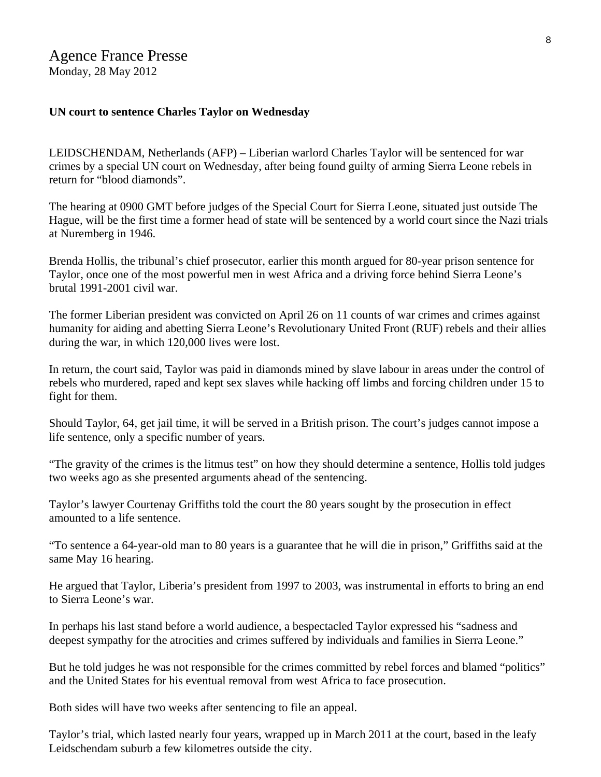## Agence France Presse Monday, 28 May 2012

#### **UN court to sentence Charles Taylor on Wednesday**

LEIDSCHENDAM, Netherlands (AFP) – Liberian warlord Charles Taylor will be sentenced for war crimes by a special UN court on Wednesday, after being found guilty of arming Sierra Leone rebels in return for "blood diamonds".

The hearing at 0900 GMT before judges of the Special Court for Sierra Leone, situated just outside The Hague, will be the first time a former head of state will be sentenced by a world court since the Nazi trials at Nuremberg in 1946.

Brenda Hollis, the tribunal's chief prosecutor, earlier this month argued for 80-year prison sentence for Taylor, once one of the most powerful men in west Africa and a driving force behind Sierra Leone's brutal 1991-2001 civil war.

The former Liberian president was convicted on April 26 on 11 counts of war crimes and crimes against humanity for aiding and abetting Sierra Leone's Revolutionary United Front (RUF) rebels and their allies during the war, in which 120,000 lives were lost.

In return, the court said, Taylor was paid in diamonds mined by slave labour in areas under the control of rebels who murdered, raped and kept sex slaves while hacking off limbs and forcing children under 15 to fight for them.

Should Taylor, 64, get jail time, it will be served in a British prison. The court's judges cannot impose a life sentence, only a specific number of years.

"The gravity of the crimes is the litmus test" on how they should determine a sentence, Hollis told judges two weeks ago as she presented arguments ahead of the sentencing.

Taylor's lawyer Courtenay Griffiths told the court the 80 years sought by the prosecution in effect amounted to a life sentence.

"To sentence a 64-year-old man to 80 years is a guarantee that he will die in prison," Griffiths said at the same May 16 hearing.

He argued that Taylor, Liberia's president from 1997 to 2003, was instrumental in efforts to bring an end to Sierra Leone's war.

In perhaps his last stand before a world audience, a bespectacled Taylor expressed his "sadness and deepest sympathy for the atrocities and crimes suffered by individuals and families in Sierra Leone."

But he told judges he was not responsible for the crimes committed by rebel forces and blamed "politics" and the United States for his eventual removal from west Africa to face prosecution.

Both sides will have two weeks after sentencing to file an appeal.

Taylor's trial, which lasted nearly four years, wrapped up in March 2011 at the court, based in the leafy Leidschendam suburb a few kilometres outside the city.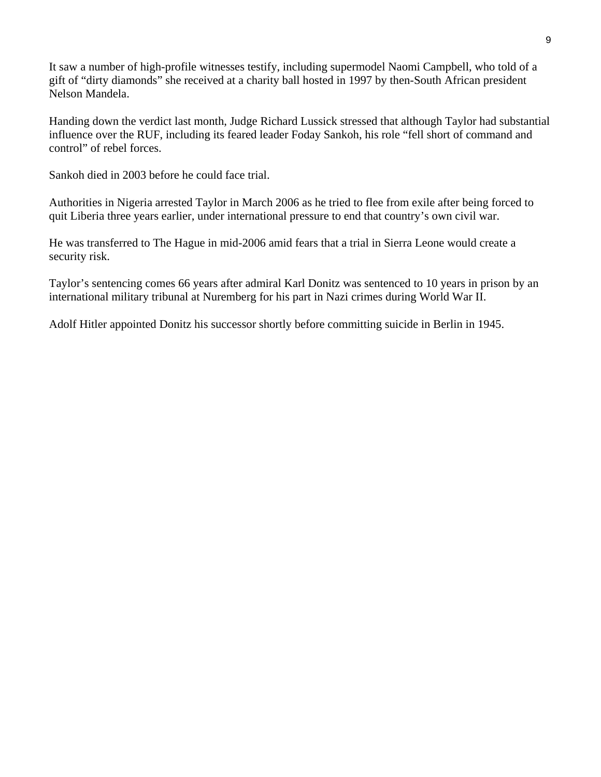It saw a number of high-profile witnesses testify, including supermodel Naomi Campbell, who told of a gift of "dirty diamonds" she received at a charity ball hosted in 1997 by then-South African president Nelson Mandela.

Handing down the verdict last month, Judge Richard Lussick stressed that although Taylor had substantial influence over the RUF, including its feared leader Foday Sankoh, his role "fell short of command and control" of rebel forces.

Sankoh died in 2003 before he could face trial.

Authorities in Nigeria arrested Taylor in March 2006 as he tried to flee from exile after being forced to quit Liberia three years earlier, under international pressure to end that country's own civil war.

He was transferred to The Hague in mid-2006 amid fears that a trial in Sierra Leone would create a security risk.

Taylor's sentencing comes 66 years after admiral Karl Donitz was sentenced to 10 years in prison by an international military tribunal at Nuremberg for his part in Nazi crimes during World War II.

Adolf Hitler appointed Donitz his successor shortly before committing suicide in Berlin in 1945.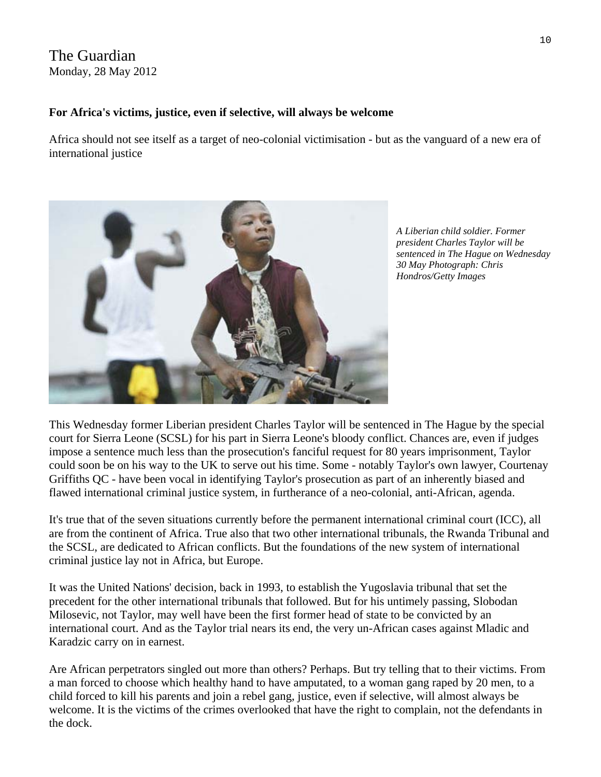## The Guardian Monday, 28 May 2012

## **For Africa's victims, justice, even if selective, will always be welcome**

Africa should not see itself as a target of neo-colonial victimisation - but as the vanguard of a new era of international justice



*sentenced in The Hague on Wednesday A Liberian child soldier. Former president Charles Taylor will be 30 May Photograph: Chris Hondros/Getty Images* 

This Wednesday former Liberian president [Charles Taylor](http://www.guardian.co.uk/world/charles-taylor) will be sentenced in The Hague by the [special](http://www.guardian.co.uk/law/special-court-for-sierra-leone)  [court for Sierra Leone](http://www.guardian.co.uk/law/special-court-for-sierra-leone) (SCSL) for his part in [Sierra Leone](http://www.guardian.co.uk/world/sierraleone)'s bloody conflict. Chances are, even if judges impose a sentence much less than the prosecution's fanciful request for 80 years imprisonment, Taylor could soon [be on his way to the UK](http://www.guardian.co.uk/world/2012/apr/25/charles-taylor-trial-liberia) to serve out his time. Some - notably Taylor's own lawyer, Courtenay Griffiths QC - have been vocal in identifying Taylor's prosecution as part of an inherently biased and flawed [international criminal justice](http://www.guardian.co.uk/law/international-criminal-justice) system, in furtherance of a neo-colonial, anti-African, agenda.

It's true that of the seven situations currently before the permanent [international criminal court](http://www.guardian.co.uk/law/international-criminal-court) (ICC), all are from the continent of [Africa.](http://www.guardian.co.uk/world/africa) True also that two other international tribunals, the [Rwanda Tribunal](http://www.unictr.org/) and the SCSL, are dedicated to African conflicts. But the foundations of the new system of international criminal justice lay not in Africa, but Europe.

It was the United Nations' decision, back in 1993, to establish the [Yugoslavia tribunal](http://www.guardian.co.uk/law/international-tribunal-for-the-former-yugoslavia) that set the precedent for the other international tribunals that followed. But for his untimely passing, [Slobodan](http://www.guardian.co.uk/world/milosevictrial)  [Milosevic,](http://www.guardian.co.uk/world/milosevictrial) not Taylor, may well have been the first former head of state to be convicted by an international court. And as the Taylor trial nears its end, the very un-African cases against [Mladic](http://www.guardian.co.uk/law/international-tribunal-for-the-former-yugoslavia+world/ratko-mladic) and [Karadzic](http://www.guardian.co.uk/world/radovankaradzic+law/international-tribunal-for-the-former-yugoslavia) carry on in earnest.

Are African perpetrators singled out more than others? Perhaps. But try telling that to their victims. From a man forced to choose which healthy hand to have amputated, to a woman gang raped by 20 men, to a child forced to kill his parents and join a rebel gang, justice, even if selective, will almost always be welcome. It is the victims of the crimes overlooked that have the right to complain, not the defendants in the dock.